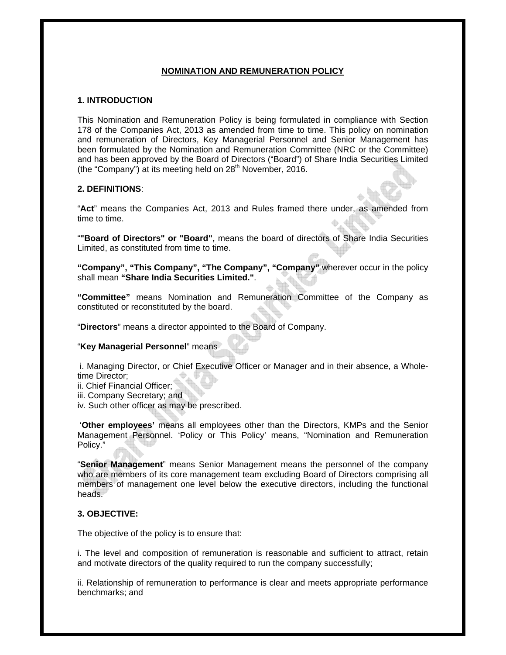# **NOMINATION AND REMUNERATION POLICY**

## **1. INTRODUCTION**

This Nomination and Remuneration Policy is being formulated in compliance with Section 178 of the Companies Act, 2013 as amended from time to time. This policy on nomination and remuneration of Directors, Key Managerial Personnel and Senior Management has been formulated by the Nomination and Remuneration Committee (NRC or the Committee) and has been approved by the Board of Directors ("Board") of Share India Securities Limited (the "Company") at its meeting held on  $28<sup>th</sup>$  November, 2016.

# **2. DEFINITIONS**:

"**Act**" means the Companies Act, 2013 and Rules framed there under, as amended from time to time.

"**"Board of Directors" or "Board",** means the board of directors of Share India Securities Limited, as constituted from time to time.

**"Company", "This Company", "The Company", "Company"** wherever occur in the policy shall mean **"Share India Securities Limited."**.

**"Committee"** means Nomination and Remuneration Committee of the Company as constituted or reconstituted by the board.

"**Directors**" means a director appointed to the Board of Company.

"**Key Managerial Personnel**" means

 i. Managing Director, or Chief Executive Officer or Manager and in their absence, a Wholetime Director;

- ii. Chief Financial Officer;
- iii. Company Secretary; and
- iv. Such other officer as may be prescribed.

 '**Other employees'** means all employees other than the Directors, KMPs and the Senior Management Personnel. 'Policy or This Policy' means, "Nomination and Remuneration Policy."

"**Senior Management**" means Senior Management means the personnel of the company who are members of its core management team excluding Board of Directors comprising all members of management one level below the executive directors, including the functional heads.

## **3. OBJECTIVE:**

The objective of the policy is to ensure that:

i. The level and composition of remuneration is reasonable and sufficient to attract, retain and motivate directors of the quality required to run the company successfully;

ii. Relationship of remuneration to performance is clear and meets appropriate performance benchmarks; and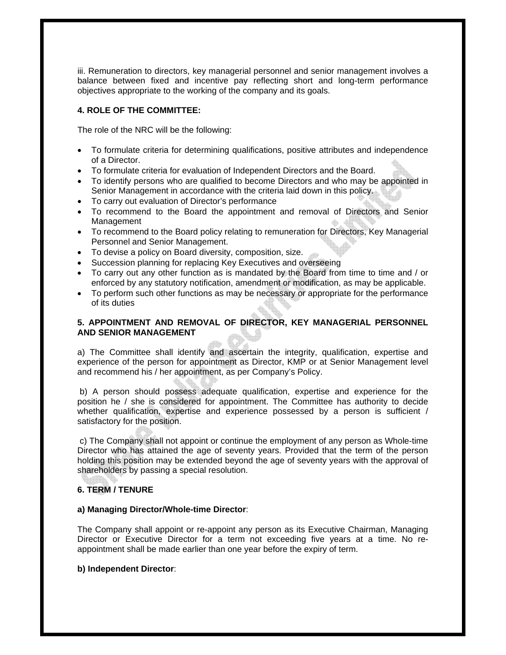iii. Remuneration to directors, key managerial personnel and senior management involves a balance between fixed and incentive pay reflecting short and long-term performance objectives appropriate to the working of the company and its goals.

# **4. ROLE OF THE COMMITTEE:**

The role of the NRC will be the following:

- To formulate criteria for determining qualifications, positive attributes and independence of a Director.
- To formulate criteria for evaluation of Independent Directors and the Board.
- To identify persons who are qualified to become Directors and who may be appointed in Senior Management in accordance with the criteria laid down in this policy.
- To carry out evaluation of Director's performance
- To recommend to the Board the appointment and removal of Directors and Senior Management
- To recommend to the Board policy relating to remuneration for Directors, Key Managerial Personnel and Senior Management.
- To devise a policy on Board diversity, composition, size.
- Succession planning for replacing Key Executives and overseeing
- To carry out any other function as is mandated by the Board from time to time and / or enforced by any statutory notification, amendment or modification, as may be applicable.
- To perform such other functions as may be necessary or appropriate for the performance of its duties

# **5. APPOINTMENT AND REMOVAL OF DIRECTOR, KEY MANAGERIAL PERSONNEL AND SENIOR MANAGEMENT**

a) The Committee shall identify and ascertain the integrity, qualification, expertise and experience of the person for appointment as Director, KMP or at Senior Management level and recommend his / her appointment, as per Company's Policy.

 b) A person should possess adequate qualification, expertise and experience for the position he / she is considered for appointment. The Committee has authority to decide whether qualification, expertise and experience possessed by a person is sufficient / satisfactory for the position.

 c) The Company shall not appoint or continue the employment of any person as Whole-time Director who has attained the age of seventy years. Provided that the term of the person holding this position may be extended beyond the age of seventy years with the approval of shareholders by passing a special resolution.

## **6. TERM / TENURE**

## **a) Managing Director/Whole-time Director**:

The Company shall appoint or re-appoint any person as its Executive Chairman, Managing Director or Executive Director for a term not exceeding five years at a time. No reappointment shall be made earlier than one year before the expiry of term.

## **b) Independent Director**: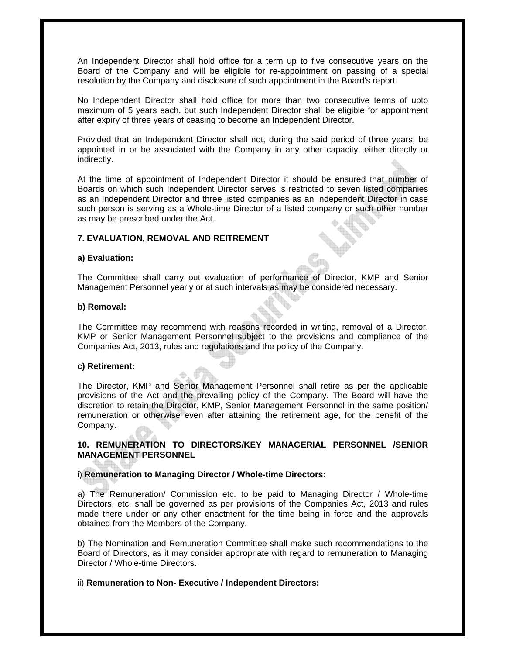An Independent Director shall hold office for a term up to five consecutive years on the Board of the Company and will be eligible for re-appointment on passing of a special resolution by the Company and disclosure of such appointment in the Board's report.

No Independent Director shall hold office for more than two consecutive terms of upto maximum of 5 years each, but such Independent Director shall be eligible for appointment after expiry of three years of ceasing to become an Independent Director.

Provided that an Independent Director shall not, during the said period of three years, be appointed in or be associated with the Company in any other capacity, either directly or indirectly.

At the time of appointment of Independent Director it should be ensured that number of Boards on which such Independent Director serves is restricted to seven listed companies as an Independent Director and three listed companies as an Independent Director in case such person is serving as a Whole-time Director of a listed company or such other number as may be prescribed under the Act.

## **7. EVALUATION, REMOVAL AND REITREMENT**

## **a) Evaluation:**

The Committee shall carry out evaluation of performance of Director, KMP and Senior Management Personnel yearly or at such intervals as may be considered necessary.

#### **b) Removal:**

The Committee may recommend with reasons recorded in writing, removal of a Director, KMP or Senior Management Personnel subject to the provisions and compliance of the Companies Act, 2013, rules and regulations and the policy of the Company.

## **c) Retirement:**

The Director, KMP and Senior Management Personnel shall retire as per the applicable provisions of the Act and the prevailing policy of the Company. The Board will have the discretion to retain the Director, KMP, Senior Management Personnel in the same position/ remuneration or otherwise even after attaining the retirement age, for the benefit of the Company.

## **10. REMUNERATION TO DIRECTORS/KEY MANAGERIAL PERSONNEL /SENIOR MANAGEMENT PERSONNEL**

## i) **Remuneration to Managing Director / Whole-time Directors:**

a) The Remuneration/ Commission etc. to be paid to Managing Director / Whole-time Directors, etc. shall be governed as per provisions of the Companies Act, 2013 and rules made there under or any other enactment for the time being in force and the approvals obtained from the Members of the Company.

b) The Nomination and Remuneration Committee shall make such recommendations to the Board of Directors, as it may consider appropriate with regard to remuneration to Managing Director / Whole-time Directors.

## ii) **Remuneration to Non- Executive / Independent Directors:**